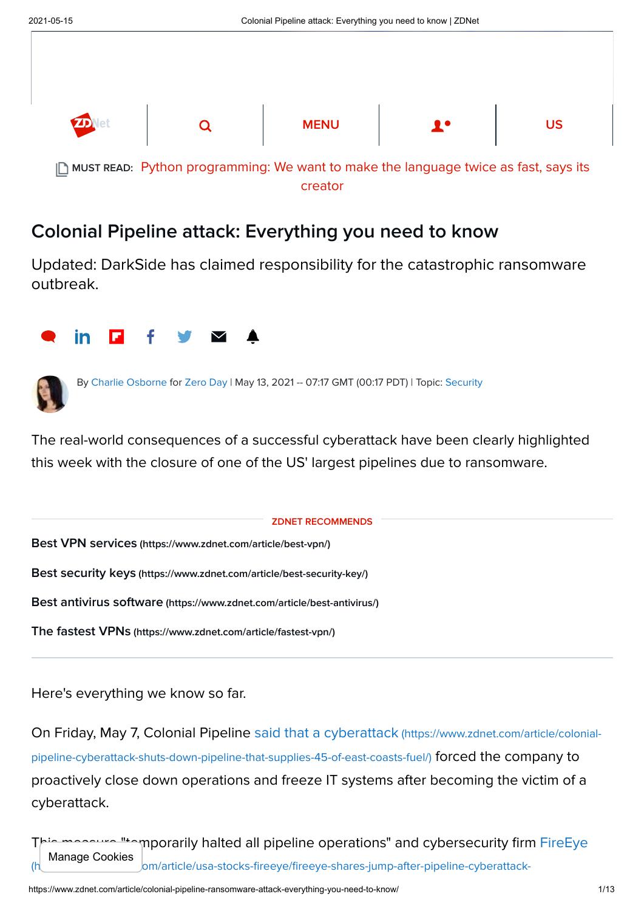

# Colonial Pipeline attack: Everything you need to know

Updated: DarkSide has claimed responsibility for the catastrophic ransomware outbreak.





By [Charlie Osborne](https://www.zdnet.com/meet-the-team/us/charlie-osborne/) for [Zero Day](https://www.zdnet.com/blog/security/) | May 13, 2021 -- 07:17 GMT (00:17 PDT) | Topic: [Security](https://www.zdnet.com/topic/security/)

The real-world consequences of a successful cyberattack have been clearly highlighted this week with the closure of one of the US' largest pipelines due to ransomware.

ZDNET RECOMMENDS

Best VPN services [\(https://www.zdnet.com/article/best-vpn/\)](https://www.zdnet.com/article/best-vpn/)

Best security keys [\(https://www.zdnet.com/article/best-security-key/\)](https://www.zdnet.com/article/best-security-key/)

Best antivirus software [\(https://www.zdnet.com/article/best-antivirus/\)](https://www.zdnet.com/article/best-antivirus/)

The fastest VPNs [\(https://www.zdnet.com/article/fastest-vpn/\)](https://www.zdnet.com/article/fastest-vpn/)

Here's everything we know so far.

[On Friday, May 7, Colonial Pipeline said that a cyberattack](https://www.zdnet.com/article/colonial-pipeline-cyberattack-shuts-down-pipeline-that-supplies-45-of-east-coasts-fuel/) (https://www.zdnet.com/article/colonialpipeline-cyberattack-shuts-down-pipeline-that-supplies-45-of-east-coasts-fuel/) forced the company to proactively close down operations and freeze IT systems after becoming the victim of a cyberattack.

**"**temporarily halted all pipeline operations" and cybersecurity firm FireEye  $\bm{b}$ m/article/usa-stocks-fireeye/fireeye-shares-jump-after-pipeline-cyberattack-Manage Cookies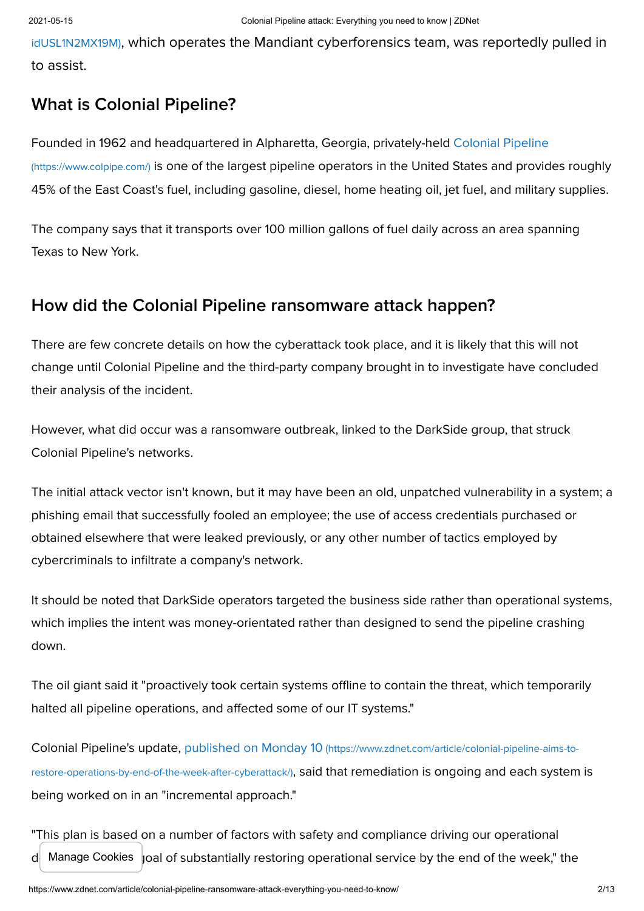idUSL1N2MX19M)[, which operates the Mandiant cyberforensics team, was reportedly pulled](https://www.reuters.com/article/usa-stocks-fireeye/fireeye-shares-jump-after-pipeline-cyberattack-idUSL1N2MX19M) in to assist.

### What is Colonial Pipeline?

[Founded in 1962 and headquartered in Alpharetta, Georgia, privately-held Colonial Pipeline](https://www.colpipe.com/) (https://www.colpipe.com/) is one of the largest pipeline operators in the United States and provides roughly 45% of the East Coast's fuel, including gasoline, diesel, home heating oil, jet fuel, and military supplies.

The company says that it transports over 100 million gallons of fuel daily across an area spanning Texas to New York.

### How did the Colonial Pipeline ransomware attack happen?

There are few concrete details on how the cyberattack took place, and it is likely that this will not change until Colonial Pipeline and the third-party company brought in to investigate have concluded their analysis of the incident.

However, what did occur was a ransomware outbreak, linked to the DarkSide group, that struck Colonial Pipeline's networks.

The initial attack vector isn't known, but it may have been an old, unpatched vulnerability in a system; a phishing email that successfully fooled an employee; the use of access credentials purchased or obtained elsewhere that were leaked previously, or any other number of tactics employed by cybercriminals to infiltrate a company's network.

It should be noted that DarkSide operators targeted the business side rather than operational systems, which implies the intent was money-orientated rather than designed to send the pipeline crashing down.

The oil giant said it "proactively took certain systems offline to contain the threat, which temporarily halted all pipeline operations, and affected some of our IT systems."

[Colonial Pipeline's update, published on Monday 10](https://www.zdnet.com/article/colonial-pipeline-aims-to-restore-operations-by-end-of-the-week-after-cyberattack/) (https://www.zdnet.com/article/colonial-pipeline-aims-torestore-operations-by-end-of-the-week-after-cyberattack/), said that remediation is ongoing and each system is being worked on in an "incremental approach."

"This plan is based on a number of factors with safety and compliance driving our operational  $d$  Manage Cookies  $\vert$ oal of substantially restoring operational service by the end of the week," the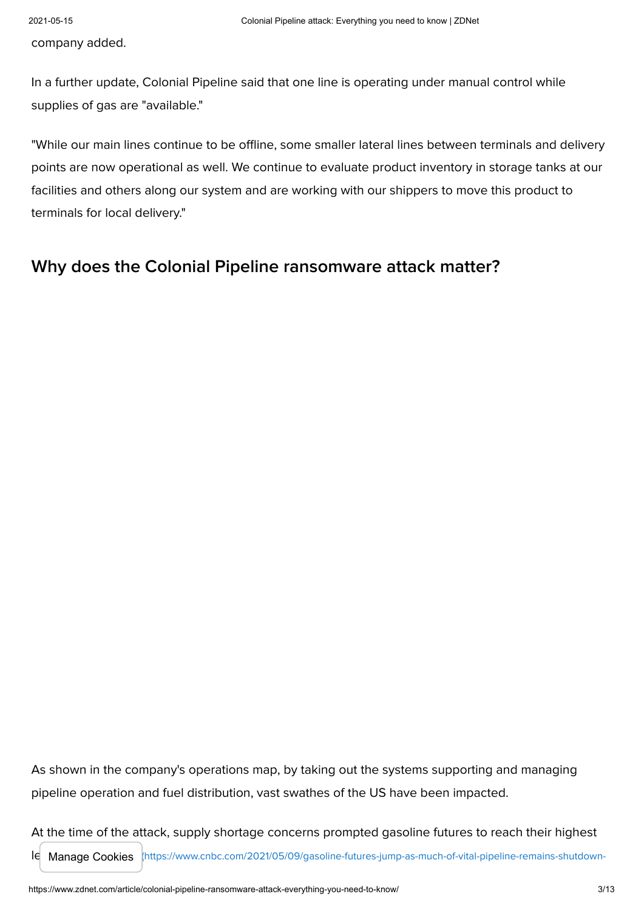company added.

In a further update, Colonial Pipeline said that one line is operating under manual control while supplies of gas are "available."

"While our main lines continue to be offline, some smaller lateral lines between terminals and delivery points are now operational as well. We continue to evaluate product inventory in storage tanks at our facilities and others along our system and are working with our shippers to move this product to terminals for local delivery."

### Why does the Colonial Pipeline ransomware attack matter?

As shown in the company's operations map, by taking out the systems supporting and managing pipeline operation and fuel distribution, vast swathes of the US have been impacted.

At the time of the attack, supply shortage concerns prompted gasoline futures to reach their highest

le Manage Cookies [\(https://www.cnbc.com/2021/05/09/gasoline-futures-jump-as-much-of-vital-pipeline-remains-shutdown-](https://www.cnbc.com/2021/05/09/gasoline-futures-jump-as-much-of-vital-pipeline-remains-shutdown-following-cyberattack.html)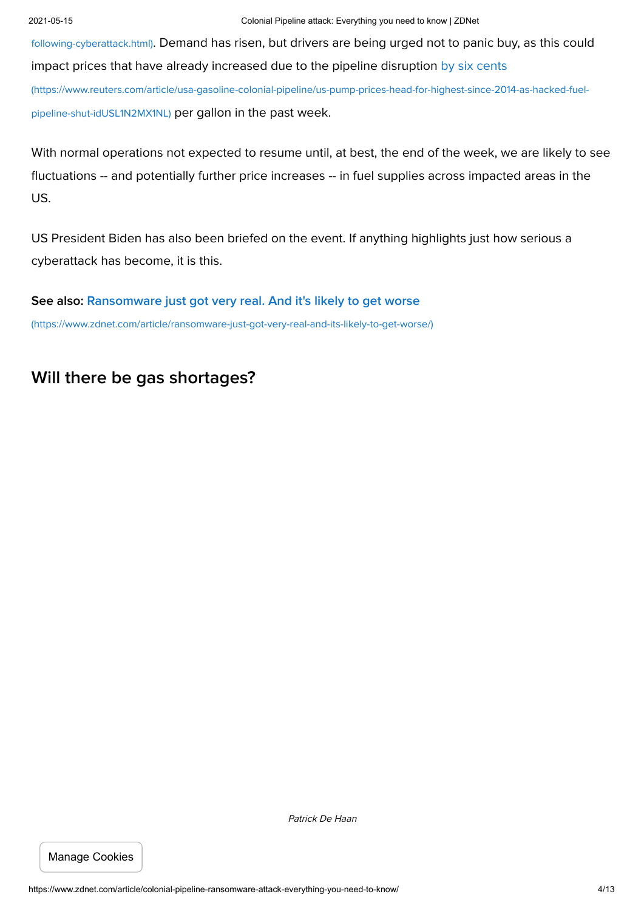following-cyberattack.html)[. Demand has risen, but drivers are being urged not to panic buy, as this could](https://www.cnbc.com/2021/05/09/gasoline-futures-jump-as-much-of-vital-pipeline-remains-shutdown-following-cyberattack.html) [impact prices that have already increased due to the pipeline disruption by six cents](https://www.reuters.com/article/usa-gasoline-colonial-pipeline/us-pump-prices-head-for-highest-since-2014-as-hacked-fuel-pipeline-shut-idUSL1N2MX1NL) (https://www.reuters.com/article/usa-gasoline-colonial-pipeline/us-pump-prices-head-for-highest-since-2014-as-hacked-fuelpipeline-shut-idUSL1N2MX1NL) per gallon in the past week.

With normal operations not expected to resume until, at best, the end of the week, we are likely to see fluctuations -- and potentially further price increases -- in fuel supplies across impacted areas in the US.

US President Biden has also been briefed on the event. If anything highlights just how serious a cyberattack has become, it is this.

[See also: Ransomware just got very real. And it's likely to get worse](https://www.zdnet.com/article/ransomware-just-got-very-real-and-its-likely-to-get-worse/) (https://www.zdnet.com/article/ransomware-just-got-very-real-and-its-likely-to-get-worse/)

# Will there be gas shortages?

Manage Cookies

Patrick De Haan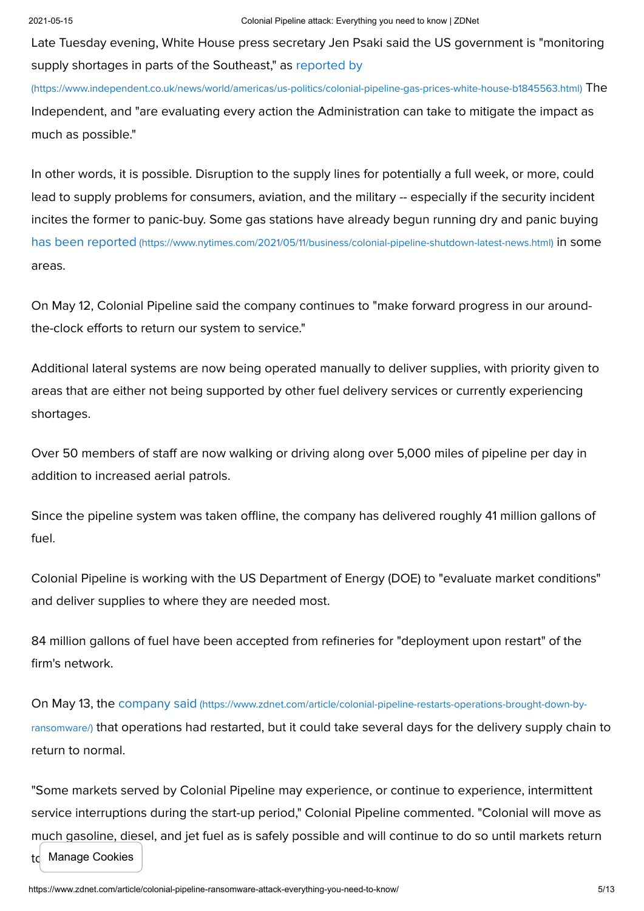Late Tuesday evening, White House press secretary Jen Psaki said the US government is "monitoring supply shortages in parts of the Southeast," as reported by

[\(https://www.independent.co.uk/news/world/americas/us-politics/colonial-pipeline-gas-prices-white-house-b1845563.html\)](https://www.independent.co.uk/news/world/americas/us-politics/colonial-pipeline-gas-prices-white-house-b1845563.html) The Independent, and "are evaluating every action the Administration can take to mitigate the impact as much as possible."

In other words, it is possible. Disruption to the supply lines for potentially a full week, or more, could lead to supply problems for consumers, aviation, and the military -- especially if the security incident incites the former to panic-buy. Some gas stations have already begun running dry and panic buying has been reported [\(https://www.nytimes.com/2021/05/11/business/colonial-pipeline-shutdown-latest-news.html\)](https://www.nytimes.com/2021/05/11/business/colonial-pipeline-shutdown-latest-news.html) in some areas.

On May 12, Colonial Pipeline said the company continues to "make forward progress in our aroundthe-clock efforts to return our system to service."

Additional lateral systems are now being operated manually to deliver supplies, with priority given to areas that are either not being supported by other fuel delivery services or currently experiencing shortages.

Over 50 members of staff are now walking or driving along over 5,000 miles of pipeline per day in addition to increased aerial patrols.

Since the pipeline system was taken offline, the company has delivered roughly 41 million gallons of fuel.

Colonial Pipeline is working with the US Department of Energy (DOE) to "evaluate market conditions" and deliver supplies to where they are needed most.

84 million gallons of fuel have been accepted from refineries for "deployment upon restart" of the firm's network.

On May 13, the company said (https://www.zdnet.com/article/colonial-pipeline-restarts-operations-brought-down-byransomware/) [that operations had restarted, but it could take several days for the delivery supply chai](https://www.zdnet.com/article/colonial-pipeline-restarts-operations-brought-down-by-ransomware/)n to return to normal.

"Some markets served by Colonial Pipeline may experience, or continue to experience, intermittent service interruptions during the start-up period," Colonial Pipeline commented. "Colonial will move as much gasoline, diesel, and jet fuel as is safely possible and will continue to do so until markets return td Manage Cookies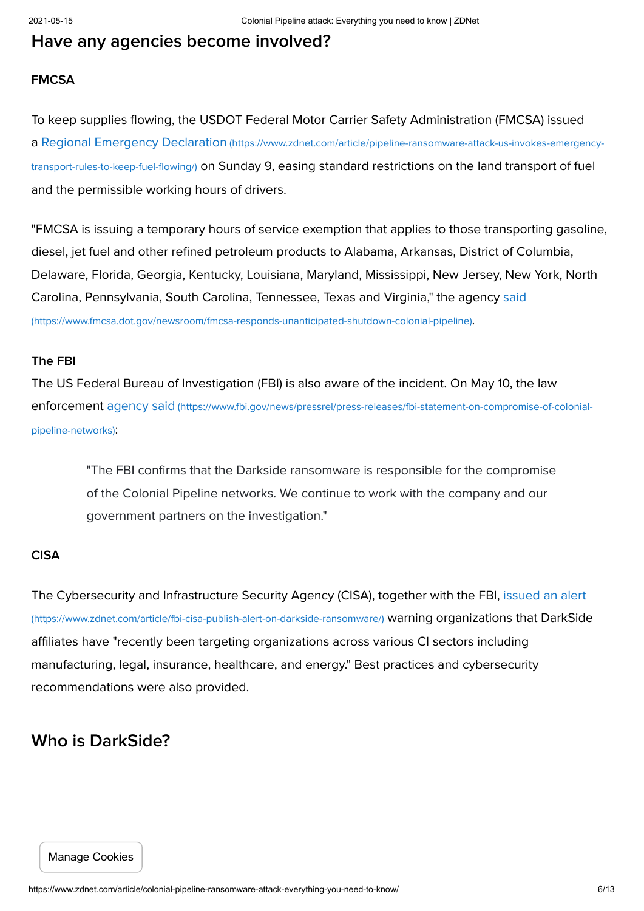# Have any agencies become involved?

### FMCSA

To keep supplies flowing, the USDOT Federal Motor Carrier Safety Administration (FMCSA) issued a Regional Emergency Declaration (https://www.zdnet.com/article/pipeline-ransomware-attack-us-invokes-emergencytransport-rules-to-keep-fuel-flowing/) [on Sunday 9, easing standard restrictions on the land transport of fuel](https://www.zdnet.com/article/pipeline-ransomware-attack-us-invokes-emergency-transport-rules-to-keep-fuel-flowing/) and the permissible working hours of drivers.

"FMCSA is issuing a temporary hours of service exemption that applies to those transporting gasoline, diesel, jet fuel and other refined petroleum products to Alabama, Arkansas, District of Columbia, Delaware, Florida, Georgia, Kentucky, Louisiana, Maryland, Mississippi, New Jersey, New York, North [Carolina, Pennsylvania, South Carolina, Tennessee, Texas and Virginia," the agency said](https://www.fmcsa.dot.gov/newsroom/fmcsa-responds-unanticipated-shutdown-colonial-pipeline) (https://www.fmcsa.dot.gov/newsroom/fmcsa-responds-unanticipated-shutdown-colonial-pipeline).

#### The FBI

The US Federal Bureau of Investigation (FBI) is also aware of the incident. On May 10, the law enforcement agency said [\(https://www.fbi.gov/news/pressrel/press-releases/fbi-statement-on-compromise-of-colonial](https://www.fbi.gov/news/pressrel/press-releases/fbi-statement-on-compromise-of-colonial-pipeline-networks)pipeline-networks):

"The FBI confirms that the Darkside ransomware is responsible for the compromise of the Colonial Pipeline networks. We continue to work with the company and our government partners on the investigation."

#### CISA

[The Cybersecurity and Infrastructure Security Agency \(CISA\), together with the FBI, issued an alert](https://www.zdnet.com/article/fbi-cisa-publish-alert-on-darkside-ransomware/) (https://www.zdnet.com/article/fbi-cisa-publish-alert-on-darkside-ransomware/) warning organizations that DarkSide affiliates have "recently been targeting organizations across various CI sectors including manufacturing, legal, insurance, healthcare, and energy." Best practices and cybersecurity recommendations were also provided.

# Who is DarkSide?

#### Manage Cookies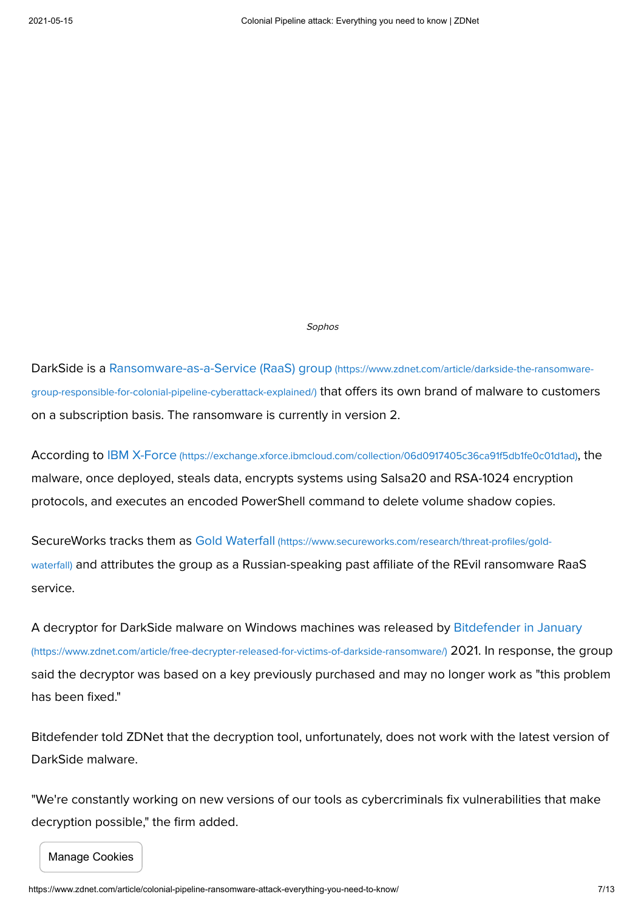Sophos

[DarkSide is a Ransomware-as-a-Service \(RaaS\) group](https://www.zdnet.com/article/darkside-the-ransomware-group-responsible-for-colonial-pipeline-cyberattack-explained/) (https://www.zdnet.com/article/darkside-the-ransomwaregroup-responsible-for-colonial-pipeline-cyberattack-explained/) that offers its own brand of malware to customers on a subscription basis. The ransomware is currently in version 2.

According to IBM X-Force [\(https://exchange.xforce.ibmcloud.com/collection/06d0917405c36ca91f5db1fe0c01d1ad\)](https://exchange.xforce.ibmcloud.com/collection/06d0917405c36ca91f5db1fe0c01d1ad), the malware, once deployed, steals data, encrypts systems using Salsa20 and RSA-1024 encryption protocols, and executes an encoded PowerShell command to delete volume shadow copies.

SecureWorks tracks them as Gold Waterfall (https://www.secureworks.com/research/threat-profiles/goldwaterfall) [and attributes the group as a Russian-speaking past affiliate of the REvil ransomware](https://www.secureworks.com/research/threat-profiles/gold-waterfall) RaaS service.

[A decryptor for DarkSide malware on Windows machines was released by Bitdefender in January](https://www.zdnet.com/article/free-decrypter-released-for-victims-of-darkside-ransomware/) (https://www.zdnet.com/article/free-decrypter-released-for-victims-of-darkside-ransomware/) 2021. In response, the group said the decryptor was based on a key previously purchased and may no longer work as "this problem has been fixed."

Bitdefender told ZDNet that the decryption tool, unfortunately, does not work with the latest version of DarkSide malware.

"We're constantly working on new versions of our tools as cybercriminals fix vulnerabilities that make decryption possible," the firm added.

Manage Cookies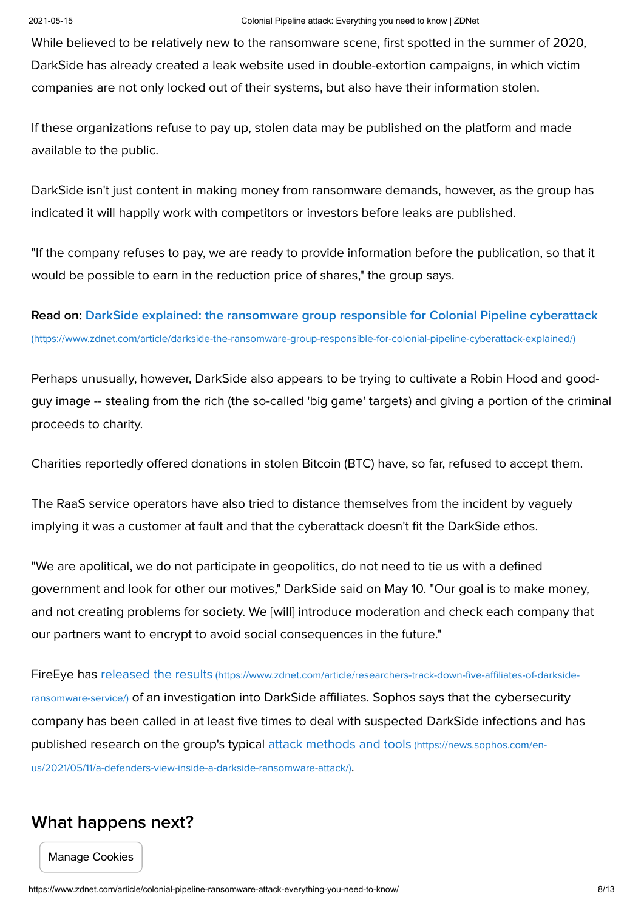While believed to be relatively new to the ransomware scene, first spotted in the summer of 2020, DarkSide has already created a leak website used in double-extortion campaigns, in which victim companies are not only locked out of their systems, but also have their information stolen.

If these organizations refuse to pay up, stolen data may be published on the platform and made available to the public.

DarkSide isn't just content in making money from ransomware demands, however, as the group has indicated it will happily work with competitors or investors before leaks are published.

"If the company refuses to pay, we are ready to provide information before the publication, so that it would be possible to earn in the reduction price of shares," the group says.

[Read on: DarkSide explained: the ransomware group responsible for Colonial Pipeline cyberattack](https://www.zdnet.com/article/darkside-the-ransomware-group-responsible-for-colonial-pipeline-cyberattack-explained/) (https://www.zdnet.com/article/darkside-the-ransomware-group-responsible-for-colonial-pipeline-cyberattack-explained/)

Perhaps unusually, however, DarkSide also appears to be trying to cultivate a Robin Hood and goodguy image -- stealing from the rich (the so-called 'big game' targets) and giving a portion of the criminal proceeds to charity.

Charities reportedly offered donations in stolen Bitcoin (BTC) have, so far, refused to accept them.

The RaaS service operators have also tried to distance themselves from the incident by vaguely implying it was a customer at fault and that the cyberattack doesn't fit the DarkSide ethos.

"We are apolitical, we do not participate in geopolitics, do not need to tie us with a defined government and look for other our motives," DarkSide said on May 10. "Our goal is to make money, and not creating problems for society. We [will] introduce moderation and check each company that our partners want to encrypt to avoid social consequences in the future."

FireEye has released the results (https://www.zdnet.com/article/researchers-track-down-five-affiliates-of-darksideransomware-service/) [of an investigation into DarkSide affiliates. Sophos says that the cybersecurity](https://www.zdnet.com/article/researchers-track-down-five-affiliates-of-darkside-ransomware-service/) company has been called in at least five times to deal with suspected DarkSide infections and has [published research on the group's typical attack methods and tools](https://news.sophos.com/en-us/2021/05/11/a-defenders-view-inside-a-darkside-ransomware-attack/) (https://news.sophos.com/enus/2021/05/11/a-defenders-view-inside-a-darkside-ransomware-attack/).

### What happens next?

Manage Cookies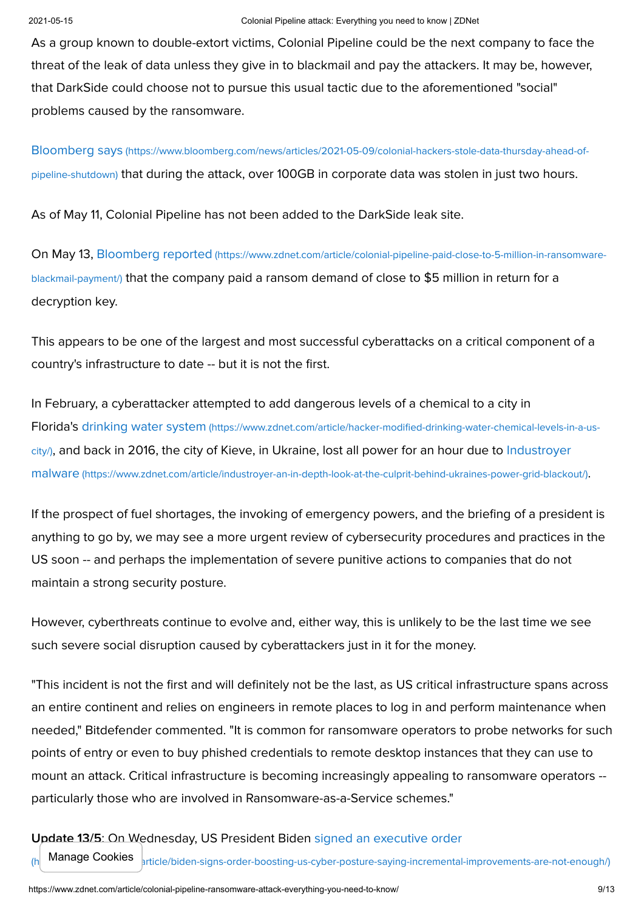As a group known to double-extort victims, Colonial Pipeline could be the next company to face the threat of the leak of data unless they give in to blackmail and pay the attackers. It may be, however, that DarkSide could choose not to pursue this usual tactic due to the aforementioned "social" problems caused by the ransomware.

Bloomberg says (https://www.bloomberg.com/news/articles/2021-05-09/colonial-hackers-stole-data-thursday-ahead-ofpipeline-shutdown) [that during the attack, over 100GB in corporate data was stolen in just two hours.](https://www.bloomberg.com/news/articles/2021-05-09/colonial-hackers-stole-data-thursday-ahead-of-pipeline-shutdown) 

As of May 11, Colonial Pipeline has not been added to the DarkSide leak site.

On May 13, Bloomberg reported (https://www.zdnet.com/article/colonial-pipeline-paid-close-to-5-million-in-ransomwareblackmail-payment/) [that the company paid a ransom demand of close to \\$5 million in return for a](https://www.zdnet.com/article/colonial-pipeline-paid-close-to-5-million-in-ransomware-blackmail-payment/) decryption key.

This appears to be one of the largest and most successful cyberattacks on a critical component of a country's infrastructure to date -- but it is not the first.

In February, a cyberattacker attempted to add dangerous levels of a chemical to a city in Florida's drinking water system (https://www.zdnet.com/article/hacker-modified-drinking-water-chemical-levels-in-a-uscity/)[, and back in 2016, the city of Kieve, in Ukraine, lost all power for an hour due to Industroyer](https://www.zdnet.com/article/hacker-modified-drinking-water-chemical-levels-in-a-us-city/) malware (https://www.zdnet.com/article/industroyer-an-in-depth-look-at-the-culprit-behind-ukraines-power-grid-blackout/).

If the prospect of fuel shortages, the invoking of emergency powers, and the briefing of a president is anything to go by, we may see a more urgent review of cybersecurity procedures and practices in the US soon -- and perhaps the implementation of severe punitive actions to companies that do not maintain a strong security posture.

However, cyberthreats continue to evolve and, either way, this is unlikely to be the last time we see such severe social disruption caused by cyberattackers just in it for the money.

"This incident is not the first and will definitely not be the last, as US critical infrastructure spans across an entire continent and relies on engineers in remote places to log in and perform maintenance when needed," Bitdefender commented. "It is common for ransomware operators to probe networks for such points of entry or even to buy phished credentials to remote desktop instances that they can use to mount an attack. Critical infrastructure is becoming increasingly appealing to ransomware operators - particularly those who are involved in Ransomware-as-a-Service schemes."

#### Update 13/5: On Wednesday, US President Biden signed an executive order

Manage Cookies  $\vert$ <sub>rticle/biden-signs-order-boosting-us-cyber-posture-saying-incremental-improvements-are-not-enough/)</sub>